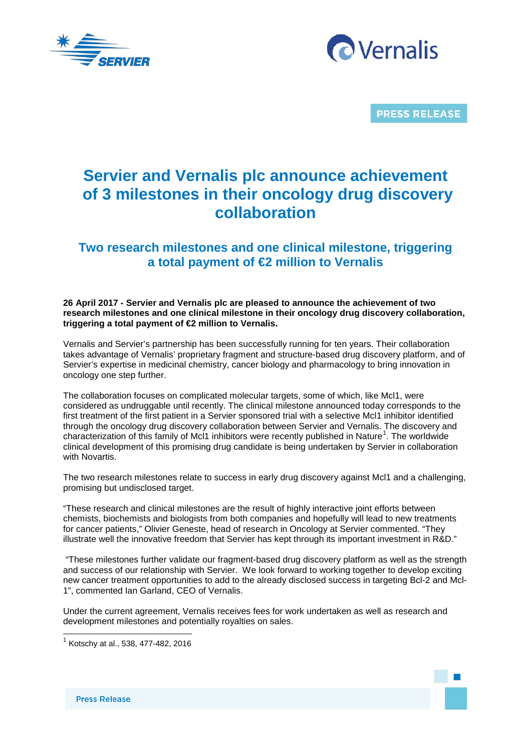



**PRESS RELEASE** 

# **Servier and Vernalis plc announce achievement of 3 milestones in their oncology drug discovery collaboration**

# **Two research milestones and one clinical milestone, triggering a total payment of €2 million to Vernalis**

# **26 April 2017 - Servier and Vernalis plc are pleased to announce the achievement of two research milestones and one clinical milestone in their oncology drug discovery collaboration, triggering a total payment of €2 million to Vernalis.**

Vernalis and Servier's partnership has been successfully running for ten years. Their collaboration takes advantage of Vernalis' proprietary fragment and structure-based drug discovery platform, and of Servier's expertise in medicinal chemistry, cancer biology and pharmacology to bring innovation in oncology one step further.

The collaboration focuses on complicated molecular targets, some of which, like Mcl1, were considered as undruggable until recently. The clinical milestone announced today corresponds to the first treatment of the first patient in a Servier sponsored trial with a selective Mcl1 inhibitor identified through the oncology drug discovery collaboration between Servier and Vernalis. The discovery and characterization of this family of Mcl[1](#page-0-0) inhibitors were recently published in Nature<sup>1</sup>. The worldwide clinical development of this promising drug candidate is being undertaken by Servier in collaboration with Novartis.

The two research milestones relate to success in early drug discovery against Mcl1 and a challenging, promising but undisclosed target.

"These research and clinical milestones are the result of highly interactive joint efforts between chemists, biochemists and biologists from both companies and hopefully will lead to new treatments for cancer patients," Olivier Geneste, head of research in Oncology at Servier commented. "They illustrate well the innovative freedom that Servier has kept through its important investment in R&D."

"These milestones further validate our fragment-based drug discovery platform as well as the strength and success of our relationship with Servier. We look forward to working together to develop exciting new cancer treatment opportunities to add to the already disclosed success in targeting Bcl-2 and Mcl-1", commented Ian Garland, CEO of Vernalis.

Under the current agreement, Vernalis receives fees for work undertaken as well as research and development milestones and potentially royalties on sales.

 $\overline{a}$ 

<span id="page-0-0"></span> $^{1}$  Kotschy at al., 538, 477-482, 2016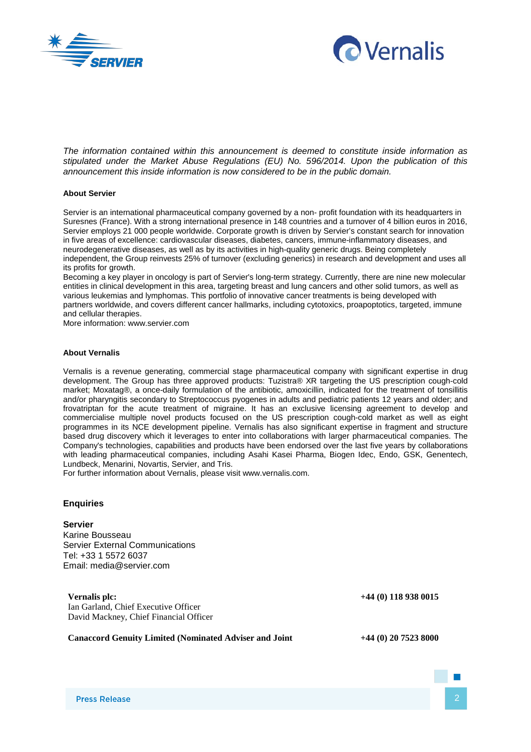



*The information contained within this announcement is deemed to constitute inside information as stipulated under the Market Abuse Regulations (EU) No. 596/2014. Upon the publication of this announcement this inside information is now considered to be in the public domain.*

### **About Servier**

Servier is an international pharmaceutical company governed by a non- profit foundation with its headquarters in Suresnes (France). With a strong international presence in 148 countries and a turnover of 4 billion euros in 2016, Servier employs 21 000 people worldwide. Corporate growth is driven by Servier's constant search for innovation in five areas of excellence: cardiovascular diseases, diabetes, cancers, immune-inflammatory diseases, and neurodegenerative diseases, as well as by its activities in high-quality generic drugs. Being completely independent, the Group reinvests 25% of turnover (excluding generics) in research and development and uses all its profits for growth.

Becoming a key player in oncology is part of Servier's long-term strategy. Currently, there are nine new molecular entities in clinical development in this area, targeting breast and lung cancers and other solid tumors, as well as various leukemias and lymphomas. This portfolio of innovative cancer treatments is being developed with partners worldwide, and covers different cancer hallmarks, including cytotoxics, proapoptotics, targeted, immune and cellular therapies.

More information: www.servier.com

#### **About Vernalis**

Vernalis is a revenue generating, commercial stage pharmaceutical company with significant expertise in drug development. The Group has three approved products: Tuzistra® XR targeting the US prescription cough-cold market; Moxatag®, a once-daily formulation of the antibiotic, amoxicillin, indicated for the treatment of tonsillitis and/or pharyngitis secondary to Streptococcus pyogenes in adults and pediatric patients 12 years and older; and frovatriptan for the acute treatment of migraine. It has an exclusive licensing agreement to develop and commercialise multiple novel products focused on the US prescription cough-cold market as well as eight programmes in its NCE development pipeline. Vernalis has also significant expertise in fragment and structure based drug discovery which it leverages to enter into collaborations with larger pharmaceutical companies. The Company's technologies, capabilities and products have been endorsed over the last five years by collaborations with leading pharmaceutical companies, including Asahi Kasei Pharma, Biogen Idec, Endo, GSK, Genentech, Lundbeck, Menarini, Novartis, Servier, and Tris.

For further information about Vernalis, please visit www.vernalis.com.

## **Enquiries**

#### **Servier**

Karine Bousseau Servier External Communications Tel: +33 1 5572 6037 Email: media@servier.com

**Vernalis plc: +44 (0) 118 938 0015** Ian Garland, Chief Executive Officer David Mackney, Chief Financial Officer

**Canaccord Genuity Limited (Nominated Adviser and Joint +44 (0) 20 7523 8000**